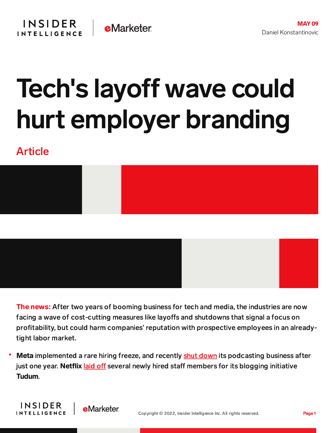## Tech's layoff wave could hurt employer branding

## Article

**INSIDER** 

**INTELLIGENCE** 

**e**Marketer



**The news:** After two years of booming business for tech and media, the industries are now facing a wave of cost-cutting measures like layoffs and shutdowns that signal a focus on profitability, but could harm companies' reputation with prospective employees in an alreadytight labor market.

Meta implemented a rare hiring freeze, and recently shut [down](https://content-na2.emarketer.com/facebook-shuts-down-podcast-service-after-one-year) its podcasting business after just one year. Netflix [laid](https://www.pcmag.com/news/netflix-lays-off-tudum-writers-as-subscriptions-fall#:~:text=Netflix%20has%20reportedly%20laid%20off,on%20Twitter%20on%20April%2028.) off several newly hired staff members for its blogging initiative Tudum.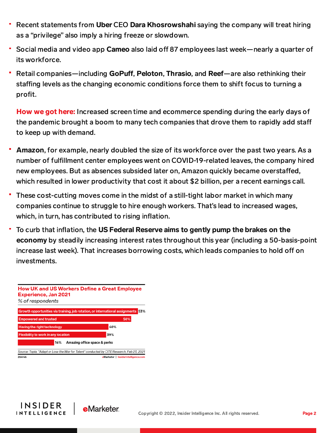- Recent statements from Uber CEO Dara Khosrowshahi saying the company will treat hiring as a "privilege" also imply a hiring freeze or slowdown.
- Social media and video app Cameo also laid off 87 employees last week—nearly a quarter of its workforce.
- Retail companies—including GoPuff, Peloton, Thrasio, and Reef—are also rethinking their staffing levels as the changing economic conditions force them to shift focus to turning a profit.

How we got here: Increased screen time and ecommerce spending during the early days of the pandemic brought a boom to many tech companies that drove them to rapidly add sta to keep up with demand.

- Amazon, for example, nearly doubled the size of its workforce over the past two years. As a number of fulfillment center employees went on COVID-19-related leaves, the company hired new employees. But as absences subsided later on, Amazon quickly became overstaffed, which resulted in lower productivity that cost it about \$2 billion, per a recent earnings call.
- These cost-cutting moves come in the midst of a still-tight labor market in which many companies continue to struggle to hire enough workers. That's lead to increased wages, which, in turn, has contributed to rising inflation.
- To curb that inflation, the US Federal Reserve aims to gently pump the brakes on the economy by steadily increasing interest rates throughout this year (including a 50-basis-point increase last week). That increases borrowing costs, which leads companies to hold off on investments.